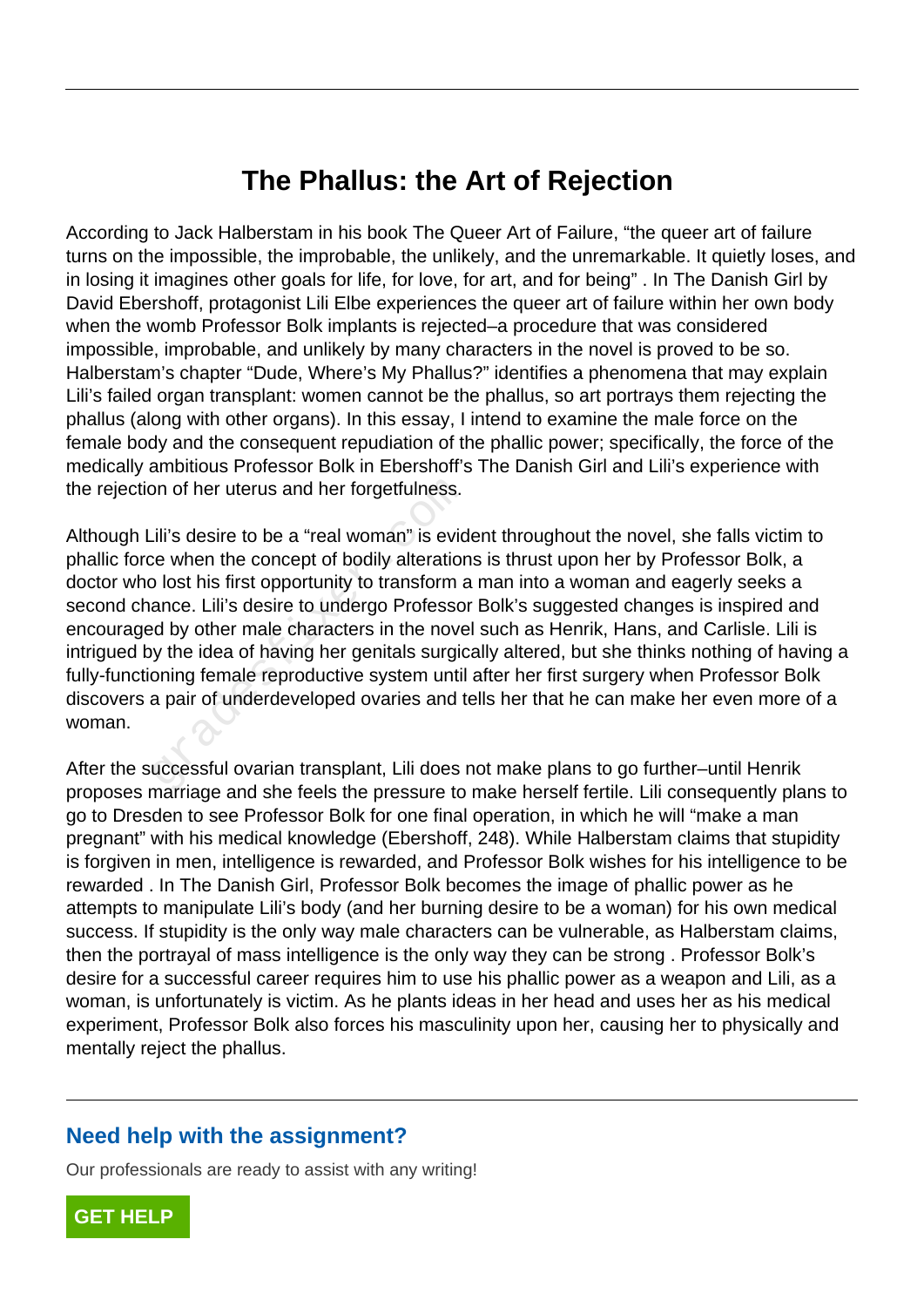## **The Phallus: the Art of Rejection**

According to Jack Halberstam in his book The Queer Art of Failure, "the queer art of failure turns on the impossible, the improbable, the unlikely, and the unremarkable. It quietly loses, and in losing it imagines other goals for life, for love, for art, and for being" . In The Danish Girl by David Ebershoff, protagonist Lili Elbe experiences the queer art of failure within her own body when the womb Professor Bolk implants is rejected–a procedure that was considered impossible, improbable, and unlikely by many characters in the novel is proved to be so. Halberstam's chapter "Dude, Where's My Phallus?" identifies a phenomena that may explain Lili's failed organ transplant: women cannot be the phallus, so art portrays them rejecting the phallus (along with other organs). In this essay, I intend to examine the male force on the female body and the consequent repudiation of the phallic power; specifically, the force of the medically ambitious Professor Bolk in Ebershoff's The Danish Girl and Lili's experience with the rejection of her uterus and her forgetfulness.

Although Lili's desire to be a "real woman" is evident throughout the novel, she falls victim to phallic force when the concept of bodily alterations is thrust upon her by Professor Bolk, a doctor who lost his first opportunity to transform a man into a woman and eagerly seeks a second chance. Lili's desire to undergo Professor Bolk's suggested changes is inspired and encouraged by other male characters in the novel such as Henrik, Hans, and Carlisle. Lili is intrigued by the idea of having her genitals surgically altered, but she thinks nothing of having a fully-functioning female reproductive system until after her first surgery when Professor Bolk discovers a pair of underdeveloped ovaries and tells her that he can make her even more of a woman. on of her uterus and her forgetfulness.<br>
ili's desire to be a "real woman" is evid<br>
ce when the concept of bodily alteratior<br>
o lost his first opportunity to transform a<br>
ance. Lili's desire to undergo Professo<br>
d by other

After the successful ovarian transplant, Lili does not make plans to go further–until Henrik proposes marriage and she feels the pressure to make herself fertile. Lili consequently plans to go to Dresden to see Professor Bolk for one final operation, in which he will "make a man pregnant" with his medical knowledge (Ebershoff, 248). While Halberstam claims that stupidity is forgiven in men, intelligence is rewarded, and Professor Bolk wishes for his intelligence to be rewarded . In The Danish Girl, Professor Bolk becomes the image of phallic power as he attempts to manipulate Lili's body (and her burning desire to be a woman) for his own medical success. If stupidity is the only way male characters can be vulnerable, as Halberstam claims, then the portrayal of mass intelligence is the only way they can be strong . Professor Bolk's desire for a successful career requires him to use his phallic power as a weapon and Lili, as a woman, is unfortunately is victim. As he plants ideas in her head and uses her as his medical experiment, Professor Bolk also forces his masculinity upon her, causing her to physically and mentally reject the phallus.

## **Need help with the assignment?**

Our professionals are ready to assist with any writing!

**[GET HELP](https://my.gradesfixer.com/order?utm_campaign=pdf_sample)**